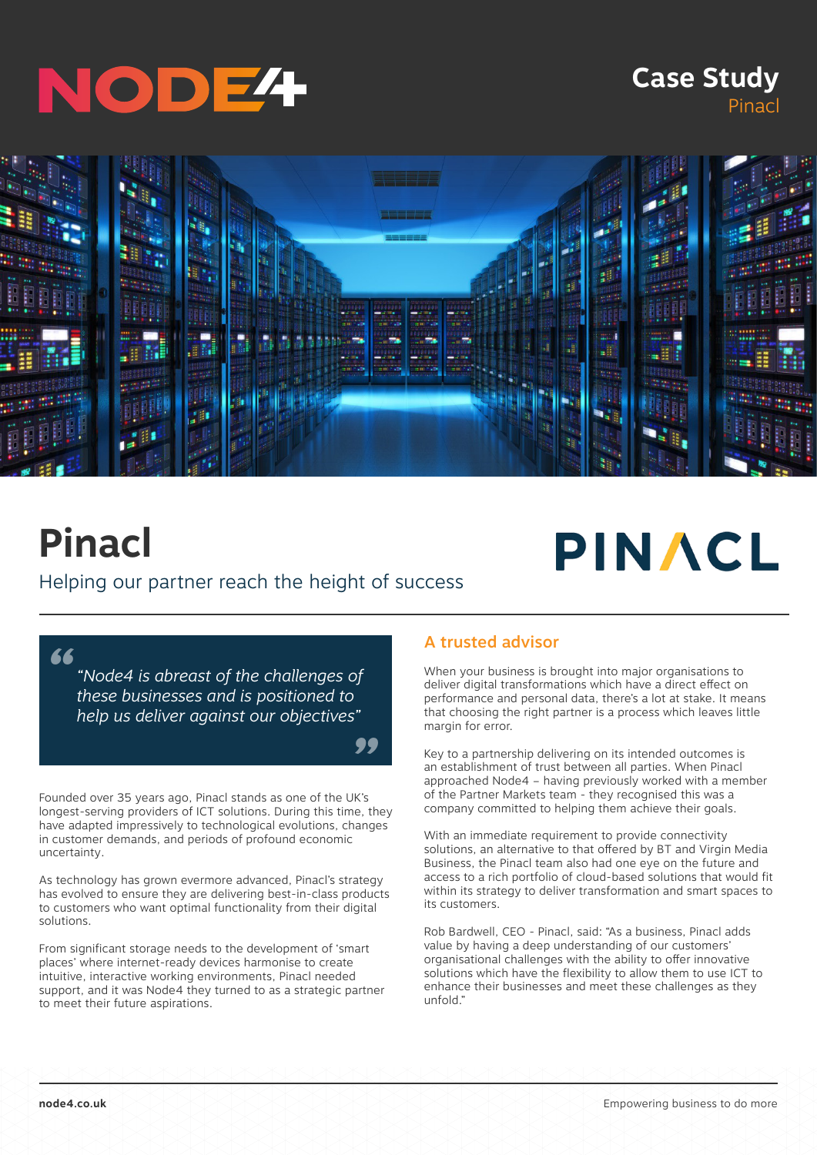# NODE<sup>4</sup>

## **Case Study** Pinacl



*"*

# **Pinacl**

#### Helping our partner reach the height of success

*"*

*"Node4 is abreast of the challenges of these businesses and is positioned to help us deliver against our objectives"*

Founded over 35 years ago, Pinacl stands as one of the UK's longest-serving providers of ICT solutions. During this time, they have adapted impressively to technological evolutions, changes in customer demands, and periods of profound economic uncertainty.

As technology has grown evermore advanced, Pinacl's strategy has evolved to ensure they are delivering best-in-class products to customers who want optimal functionality from their digital solutions.

From significant storage needs to the development of 'smart places' where internet-ready devices harmonise to create intuitive, interactive working environments, Pinacl needed support, and it was Node4 they turned to as a strategic partner to meet their future aspirations.

#### A trusted advisor

When your business is brought into major organisations to deliver digital transformations which have a direct effect on performance and personal data, there's a lot at stake. It means that choosing the right partner is a process which leaves little margin for error.

PINACL

Key to a partnership delivering on its intended outcomes is an establishment of trust between all parties. When Pinacl approached Node4 – having previously worked with a member of the Partner Markets team - they recognised this was a company committed to helping them achieve their goals.

With an immediate requirement to provide connectivity solutions, an alternative to that offered by BT and Virgin Media Business, the Pinacl team also had one eye on the future and access to a rich portfolio of cloud-based solutions that would fit within its strategy to deliver transformation and smart spaces to its customers.

Rob Bardwell, CEO - Pinacl, said: "As a business, Pinacl adds value by having a deep understanding of our customers' organisational challenges with the ability to offer innovative solutions which have the flexibility to allow them to use ICT to enhance their businesses and meet these challenges as they unfold."